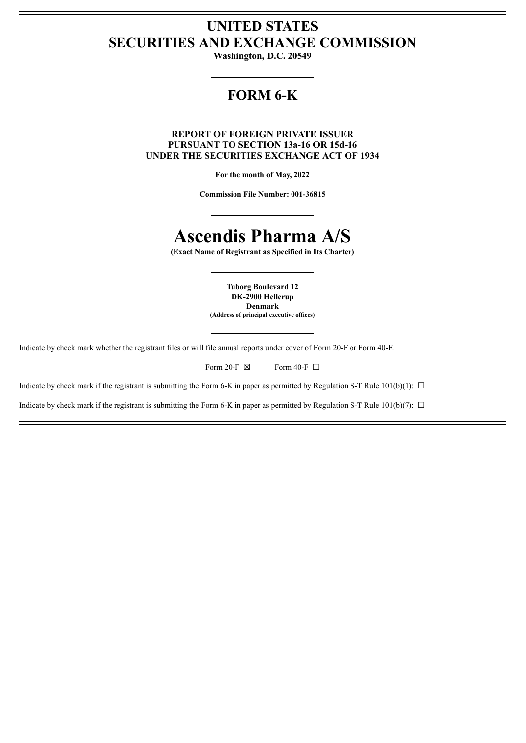## **UNITED STATES SECURITIES AND EXCHANGE COMMISSION**

**Washington, D.C. 20549**

## **FORM 6-K**

**REPORT OF FOREIGN PRIVATE ISSUER PURSUANT TO SECTION 13a-16 OR 15d-16 UNDER THE SECURITIES EXCHANGE ACT OF 1934**

**For the month of May, 2022**

**Commission File Number: 001-36815**

# **Ascendis Pharma A/S**

**(Exact Name of Registrant as Specified in Its Charter)**

**Tuborg Boulevard 12 DK-2900 Hellerup Denmark (Address of principal executive offices)**

Indicate by check mark whether the registrant files or will file annual reports under cover of Form 20-F or Form 40-F.

| Form 20-F $\boxtimes$ | Form 40-F $\Box$ |  |
|-----------------------|------------------|--|
|                       |                  |  |

Indicate by check mark if the registrant is submitting the Form 6-K in paper as permitted by Regulation S-T Rule 101(b)(1):  $\Box$ 

Indicate by check mark if the registrant is submitting the Form 6-K in paper as permitted by Regulation S-T Rule 101(b)(7):  $\Box$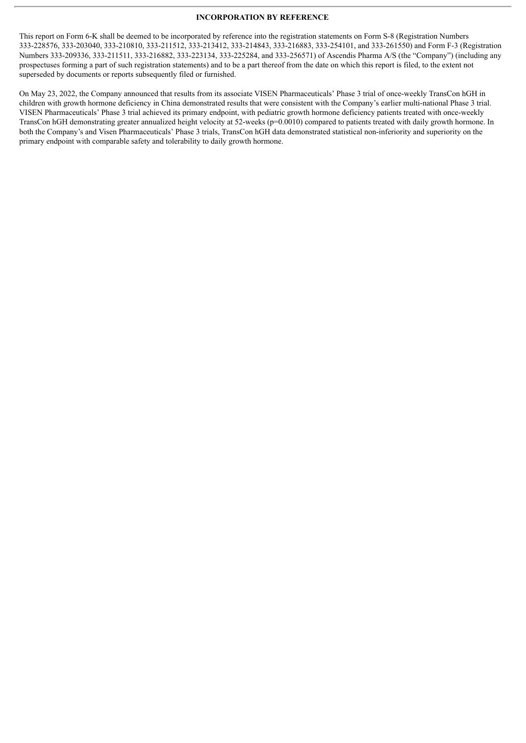#### **INCORPORATION BY REFERENCE**

This report on Form 6-K shall be deemed to be incorporated by reference into the registration statements on Form S-8 (Registration Numbers 333-228576, 333-203040, 333-210810, 333-211512, 333-213412, 333-214843, 333-216883, 333-254101, and 333-261550) and Form F-3 (Registration Numbers 333-209336, 333-211511, 333-216882, 333-223134, 333-225284, and 333-256571) of Ascendis Pharma A/S (the "Company") (including any prospectuses forming a part of such registration statements) and to be a part thereof from the date on which this report is filed, to the extent not superseded by documents or reports subsequently filed or furnished.

On May 23, 2022, the Company announced that results from its associate VISEN Pharmaceuticals' Phase 3 trial of once-weekly TransCon hGH in children with growth hormone deficiency in China demonstrated results that were consistent with the Company's earlier multi-national Phase 3 trial. VISEN Pharmaceuticals' Phase 3 trial achieved its primary endpoint, with pediatric growth hormone deficiency patients treated with once-weekly TransCon hGH demonstrating greater annualized height velocity at 52-weeks (p=0.0010) compared to patients treated with daily growth hormone. In both the Company's and Visen Pharmaceuticals' Phase 3 trials, TransCon hGH data demonstrated statistical non-inferiority and superiority on the primary endpoint with comparable safety and tolerability to daily growth hormone.